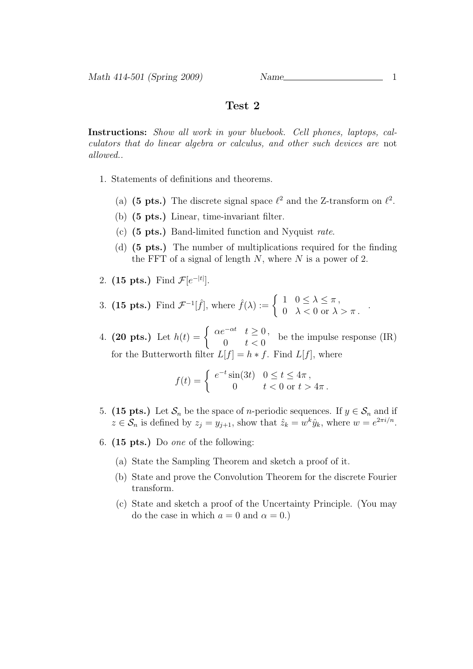Math 414-501 (Spring 2009) Name

## Test 2

Instructions: Show all work in your bluebook. Cell phones, laptops, calculators that do linear algebra or calculus, and other such devices are not allowed..

- 1. Statements of definitions and theorems.
	- (a) (5 pts.) The discrete signal space  $\ell^2$  and the Z-transform on  $\ell^2$ .
	- (b) (5 pts.) Linear, time-invariant filter.
	- (c) (5 pts.) Band-limited function and Nyquist rate.
	- (d) (5 pts.) The number of multiplications required for the finding the FFT of a signal of length  $N$ , where  $N$  is a power of 2.
- 2. (15 pts.) Find  $\mathcal{F}[e^{-|t|}].$
- 3. (15 pts.) Find  $\mathcal{F}^{-1}[\hat{f}],$  where  $\hat{f}(\lambda) := \begin{cases} 1 & 0 \leq \lambda \leq \pi, \\ 0 & \lambda \leq 0 \end{cases}$  $0 \quad \lambda < 0 \text{ or } \lambda > \pi$ .
- 4. (20 pts.) Let  $h(t) = \begin{cases} \alpha e^{-\alpha t} & t \geq 0, \\ 0 & t < 0. \end{cases}$  $\begin{array}{ll} \ell & \text{if } t & \text{if } t & \text{if } t \leq 0 \\ 0 & t & \text{if } t & \text{if } t \end{array}$ for the Butterworth filter  $L[f] = h * f$ . Find  $L[f]$ , where

$$
f(t) = \begin{cases} e^{-t} \sin(3t) & 0 \le t \le 4\pi, \\ 0 & t < 0 \text{ or } t > 4\pi. \end{cases}
$$

- 5. (15 pts.) Let  $S_n$  be the space of *n*-periodic sequences. If  $y \in S_n$  and if  $z \in \mathcal{S}_n$  is defined by  $z_j = y_{j+1}$ , show that  $\hat{z}_k = w^k \hat{y}_k$ , where  $w = e^{2\pi i/n}$ .
- 6.  $(15 \text{ pts.})$  Do one of the following:
	- (a) State the Sampling Theorem and sketch a proof of it.
	- (b) State and prove the Convolution Theorem for the discrete Fourier transform.
	- (c) State and sketch a proof of the Uncertainty Principle. (You may do the case in which  $a = 0$  and  $\alpha = 0$ .)